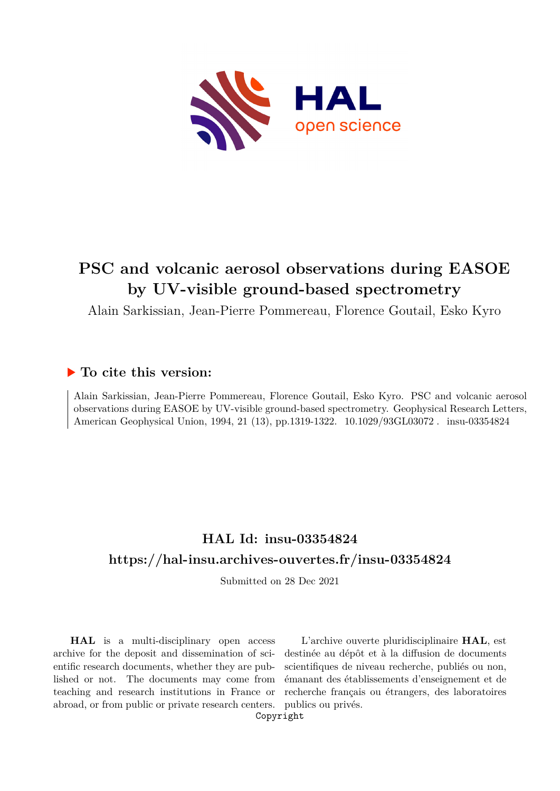

# **PSC and volcanic aerosol observations during EASOE by UV-visible ground-based spectrometry**

Alain Sarkissian, Jean-Pierre Pommereau, Florence Goutail, Esko Kyro

## **To cite this version:**

Alain Sarkissian, Jean-Pierre Pommereau, Florence Goutail, Esko Kyro. PSC and volcanic aerosol observations during EASOE by UV-visible ground-based spectrometry. Geophysical Research Letters, American Geophysical Union, 1994, 21 (13), pp.1319-1322. 10.1029/93GL03072. insu-03354824

# **HAL Id: insu-03354824 <https://hal-insu.archives-ouvertes.fr/insu-03354824>**

Submitted on 28 Dec 2021

**HAL** is a multi-disciplinary open access archive for the deposit and dissemination of scientific research documents, whether they are published or not. The documents may come from teaching and research institutions in France or abroad, or from public or private research centers.

L'archive ouverte pluridisciplinaire **HAL**, est destinée au dépôt et à la diffusion de documents scientifiques de niveau recherche, publiés ou non, émanant des établissements d'enseignement et de recherche français ou étrangers, des laboratoires publics ou privés.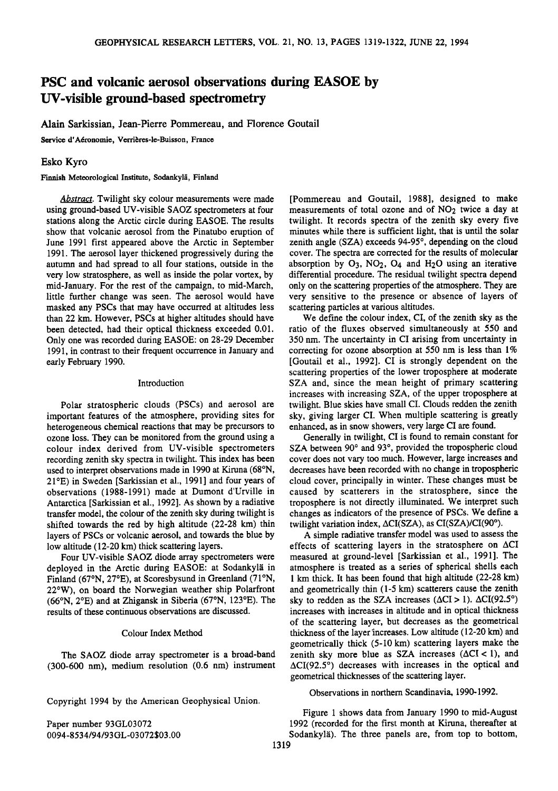## **PSC and volcanic aerosol observations during EASOE by UV-visible ground-based spectrometry**

**Alain Sarkissian, Jean-Pierre Pommereau, and Florence Goutail** 

Service d'Aéronomie, Verrières-le-Buisson, France

### **Esko Kyro**

Finnish Meteorological Institute, Sodankylä, Finland

**Abstract. Twilight sky colour measurements were made using ground-based UV-visible S AOZ spectrometers at four stations along the Arctic circle during EASOE. The results show that volcanic aerosol from the Pinatubo eruption of June 1991 first appeared above the Arctic in September 1991. The aerosol layer thickened progressively during the autumn and had spread to all four stations, outside in the very low stratosphere, as well as inside the polar vortex, by mid-January. For the rest of the campaign, to mid-March, little further change was seen. The aerosol would have masked any PSCs that may have occurred at altitudes less than 22 km. However, PSCs at higher altitudes should have been detected, had their optical thickness exceeded 0.01. Only one was recorded during EASOE: on 28-29 December**  1991, in contrast to their frequent occurrence in January and **early February 1990.** 

#### **Introduction**

**Polar stratospheric clouds (PSCs) and aerosol are important features of the atmosphere, providing sites for heterogeneous chemical reactions that may be precursors to ozone loss. They can be monitored from the ground using a colour index derived from UV-visible spectrometers recording zenith sky spectra in twilight. This index has been**  used to interpret observations made in 1990 at Kiruna (68°N, **21øE) in Sweden [Sarkissian et al., 1991] and four years of observations (1988-1991) made at Dumont d'Urville in Antarctica [Sarkissian et al., 1992]. As shown by a radiative transfer model, the colour of the zenith sky during twilight is shifted towards the red by high altitude (22-28 km) thin layers of PSCs or volcanic aerosol, and towards the blue by low altitude (12-20 km) thick scattering layers.** 

**Four UV-visible SAOZ diode array spectrometers were**  deployed in the Arctic during EASOE: at Sodankylä in Finland (67°N, 27°E), at Scoresbysund in Greenland (71°N, **22øW), on board the Norwegian weather ship Polarfront (66øN, 2øE) and at Zhigansk in Siberia (67øN, 123øE). The results of these continuous observations are discussed.** 

#### **Colour Index Method**

**The SAOZ diode array spectrometer is a broad-band (300-600 nm), medium resolution (0.6 nm) instrument** 

**Copyright 1994 by the American Geophysical Union.** 

**Paper number 93GL03072 0094-8534/94/93GL-03072503.00** 

**[Pommereau and Goutail, 1988], designed to make measurements of total ozone and of NO2 twice a day at twilight. It records spectra of the zenith sky every five minutes while there is sufficient light, that is until the solar**  zenith angle (SZA) exceeds 94-95°, depending on the cloud **cover. The spectra are corrected for the results of molecular absorption by 03, NO2, 04 and H20 using an iterative differential procedure. The residual twilight spectra depend only on the scattering properties of the atmosphere. They are very sensitive to the presence or absence of layers of scattering particles at various altitudes.** 

**We define the colour index, CI, of the zenith sky as the ratio of the fluxes observed simultaneously at 550 and 350 nm. The uncertainty in CI arising from uncertainty in correcting for ozone absorption at 550 nm is less than 1% [Goutail et al., 1992]. CI is strongly dependent on the scattering properties of the lower troposphere at moderate SZA and, since the mean height of primary scattering increases with increasing SZA, of the upper troposphere at twilight. Blue skies have small CI. Clouds redden the zenith sky, giving larger CI. When multiple scattering is greatly enhanced, as in snow showers, very large CI are found.** 

**Generally in twilight, CI is found to remain constant for**  SZA between 90° and 93°, provided the tropospheric cloud **cover does not vary too much. However, large increases and decreases have been recorded with no change in tropospheric cloud cover, principally in winter. These changes must be caused by scatterers in the stratosphere, since the troposphere is not directly illuminated. We interpret such changes as indicators of the presence of PSCs. We define a**  twilight variation index,  $\Delta CI(SZA)$ , as  $CI(SZA)/CI(90^{\circ}).$ 

**A simple radiative transfer model was used to assess the effects of scattering layers in the stratosphere on ACI measured at ground-level [Sarkissian et al., 1991]. The atmosphere istreated as a series of spherical shells each 1 km thick. It has been found that high altitude (22-28 km) and geometrically thin (1-5 km) scatterers cause the zenith**  sky to redden as the SZA increases  $(\Delta CI > 1)$ .  $\Delta CI(92.5^{\circ})$ **increases with increases in altitude and in optical thickness of the scattering layer, but decreases as the geometrical thickness of the layer'increases. Low altitude (12-20 km) and geometrically thick (5-10 km) scattering layers make the**  zenith sky more blue as SZA increases  $(\Delta CI < 1)$ , and **ACI(92.5 ø) decreases with increases in the optical and geometrical thicknesses of the scattering layer.** 

**Observations in northern Scandinavia, 1990-1992.** 

**Figure 1 shows data from January 1990 to mid-August 1992 (recorded for the first month at Kiruna, thereafter at**  Sodankylä). The three panels are, from top to bottom,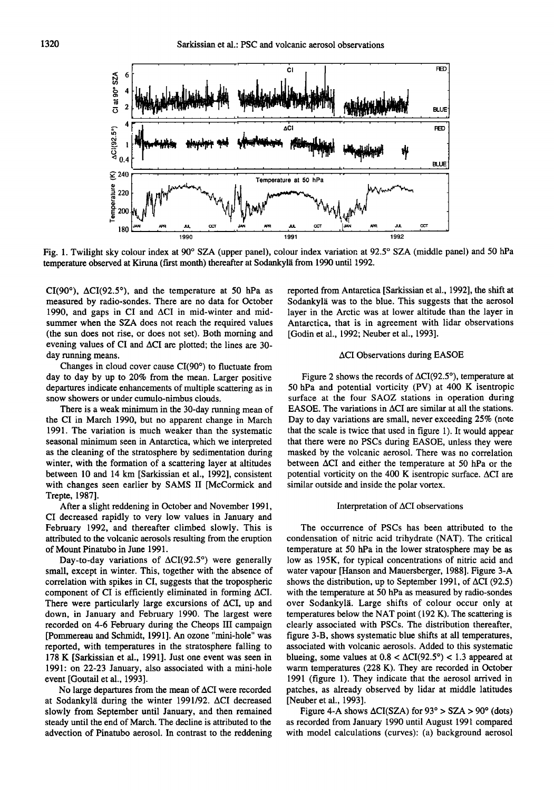

Fig. 1. Twilight sky colour index at 90° SZA (upper panel), colour index variation at 92.5° SZA (middle panel) and 50 hPa temperature observed at Kiruna (first month) thereafter at Sodankylä from 1990 until 1992.

CI(90 $\degree$ ),  $\Delta$ CI(92.5 $\degree$ ), and the temperature at 50 hPa as **measured by radio-sondes. There are no data for October 1990, and gaps in CI and ACI in mid-winter and midsummer when the SZA does not reach the required values (the sun does not rise, or does not set). Both morning and evening values of CI and ACI are plotted; the lines are 30 day running means.** 

Changes in cloud cover cause CI(90°) to fluctuate from **day to day by up to 20% from the mean. Larger positive departures indicate enhancements of multiple scattering as in snow showers or under cumulo-nimbus clouds.** 

**There is a weak minimum in the 30-day running mean of the CI in March 1990, but no apparent change in March 1991. The variation is much weaker than the systematic seasonal minimum seen in Antarctica, which we interpreted as the cleaning of the stratosphere by sedimentation during winter, with the formation of a scattering layer at altitudes between 10 and 14 km [Sarkissian et al., 1992], consistent with changes seen earlier by SAMS II [McCormick and Trepte, 1987].** 

**After a slight reddening in October and November 1991, CI decreased rapidly to very low values in January and February 1992, and thereafter climbed slowly. This is attributed to the volcanic aerosols resulting from the eruption of Mount Pinatubo in June 1991.** 

Day-to-day variations of  $\Delta CI(92.5^{\circ})$  were generally **small, except in winter. This, together with the absence of correlation with spikes in CI, suggests that the tropospheric component of CI is efficiently eliminated in forming ACI. There were particularly large excursions of ACI, up and down, in January and February 1990. The largest were recorded on 4-6 February during the Cheops III campaign [Pommereau and Schmidt, 1991]. An ozone "mini-hole" was reported, with temperatures in the stratosphere falling to 178 K [Sarkissian et al., 1991]. Just one event was seen in 1991: on 22-23 January, also associated with a mini-hole event [Goutail et al., 1993].** 

**No large departures from the mean of ACI were recorded**  at Sodankylä during the winter 1991/92. ΔCI decreased **slowly from September until January, and then remained steady until the end of March. The decline is attributed to the advection of Pinatubo aerosol. In contrast to the reddening** 

**reported from Antarctica [Sarkissian et al., 1992], the shift at**  Sodankylä was to the blue. This suggests that the aerosol **layer in the Arctic was at lower altitude than the layer in Antarctica, that is in agreement with lidar observations [Godin et al., 1992; Neuber et al., 1993].** 

### **ACI Observations during EASOE**

Figure 2 shows the records of  $\Delta CI(92.5^{\circ})$ , temperature at **50 hPa and potential vorticity (PV) at 400 K isentropic**  surface at the four SAOZ stations in operation during **EASOE. The variations in ACI are similar at all the stations. Day to day variations are small, never exceeding 25% (note that the scale is twice that used in figure 1). It would appear that there were no PSCs during EASOE, unless they were masked by the volcanic aerosol. There was no correlation between ACI and either the temperature at 50 hPa or the potential vorticity on the 400 K isentropic surface. ACI are similar outside and inside the polar vortex.** 

#### **Interpretation of ACI observations**

**The occurrence of PSCs has been attributed to the condensation of nitric acid trihydrate (NAT). The critical temperature at 50 hPa in the lower stratosphere may be as low as 195K, for typical concentrations of nitric acid and water vapour [Hanson and Mauersberger, 1988]. Figure 3-A shows the distribution, up to September 1991, of ACI (92.5) with the temperature at 50 hPa as measured by radio-sondes**  over Sodankylä. Large shifts of colour occur only at **temperatures below the NAT point (192 K). The scattering is clearly associated with PSCs. The distribution thereafter, figure 3-B, shows systematic blue shifts at all temperatures, associated with volcanic aerosols. Added to this systematic**  blueing, some values at  $0.8 < \Delta \text{CI}(92.5^{\circ}) < 1.3$  appeared at **warm temperatures (228 K). They are recorded in October 1991 (figure 1). They indicate that the aerosol arrived in patches, as already observed by lidar at middle latitudes [Neuber et al., 1993].** 

Figure 4-A shows  $\Delta CI(SZA)$  for  $93^\circ > SZA > 90^\circ$  (dots) **as recorded from January 1990 until August 1991 compared with model calculations (curves): (a) background aerosol**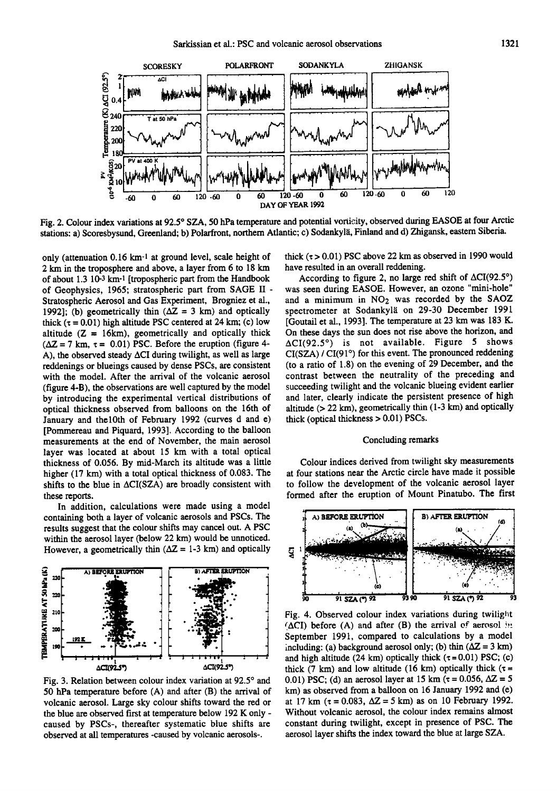

Fig. 2. Colour index variations at 92.5° SZA, 50 hPa temperature and potential vorticity, observed during EASOE at four Arctic stations: a) Scoresbysund, Greenland; b) Polarfront, northern Atlantic; c) Sodankylä, Finland and d) Zhigansk, eastern Siberia.

**only (attenuation 0.16 km-I at ground level, scale height of 2 km in the troposphere and above, a layer from 6 to 18 km of about 1.3 10-3 km-l [tropospheric part from the Handbook of Geophysics, 1965; stratospheric part from SAGE II - Stratospheric Aerosol and Gas Experiment, Brogniez et al.,**  1992]; (b) geometrically thin  $(\Delta Z = 3 \text{ km})$  and optically thick  $(\tau = 0.01)$  high altitude PSC centered at 24 km; (c) low **altitude (Z = 16km), geometrically and optically thick**   $(\Delta Z = 7 \text{ km}, \tau = 0.01)$  PSC. Before the eruption (figure 4-**A), the observed steady ACI during twilight, as well as large reddenings or blueings caused by dense PSCs, are consistent with the model. After the arrival of the volcanic aerosol (figure 4-B), the observations are well captured by the model by introducing the experimental vertical distributions of optical thickness observed from balloons on the 16th of January and thel0th of February 1992 (curves d and e) [Pommereau and Piquard, 1993]. According to the balloon measurements at the end of November, the main aerosol layer was located at about 15 km with a total optical thickness of 0.056. By mid-March its altitude was a little higher (17 km) with a total optical thickness of 0.083. The shifts to the blue in ACI(SZA) are broadly consistent with these reports.** 

**In addition, calculations were made using a model containing both a layer of volcanic aerosols and PSCs. The**  results suggest that the colour shifts may cancel out. A PSC **within the aerosol layer (below 22 km) would be unnoticed.**  However, a geometrically thin  $(\Delta Z = 1-3 \text{ km})$  and optically



Fig. 3. Relation between colour index variation at 92.5° and **50 hPa temperature before (A) and after (B) the arrival of volcanic aerosol. Large sky colour shifts toward the red or the blue are observed first at temperature below 192 K only caused by PSCs-, thereafter systematic blue shifts are observed at all temperatures -caused by volcanic aerosols-.** 

thick  $(\tau > 0.01)$  PSC above 22 km as observed in 1990 would **have resulted in an overall reddening.** 

According to figure 2, no large red shift of  $\Delta CI(92.5^{\circ})$ **was seen during EASOE. However, an ozone "mini-hole" and a minimum in NO2 was recorded by the SAOZ**  spectrometer at Sodankylä on 29-30 December 1991 **[Goutail et al., 1993]. The temperature at23 km was 183 K. On these days the sun does not rise above the horizon, and ACI(92.5 ø) is not available. Figure 5 shows**  CI(SZA) / CI(91<sup>o</sup>) for this event. The pronounced reddening **(to a ratio of 1.8) on the evening of 29 December, and the contrast between the neutrality of the preceding and succeeding twilight and the volcanic blueing evident earlier and later, clearly indicate the persistent presence of high altitude (> 22 km), geometrically thin (1-3 km) and optically thick (optical thickness > 0.01) PSCs.** 

#### **Concluding remarks**

**Colour indices derived from twilight sky measurements at four stations near the Arctic circle have made it possible**  to follow the development of the volcanic aerosol layer **formed after the eruption of Mount Pinatubo. The first** 



**Fig. 4. Observed colour index variations during twilight**   $(ACI)$  before  $(A)$  and after  $(B)$  the arrival of aerosol  $\mathbb{R}$ **September 1991, compared to calculations by a model**  including: (a) background aerosol only; (b) thin  $(\Delta Z = 3 \text{ km})$ and high altitude  $(24 \text{ km})$  optically thick  $(\tau = 0.01)$  PSC; (c) thick (7 km) and low altitude (16 km) optically thick ( $\tau$  = 0.01) PSC; (d) an aerosol layer at 15 km ( $\tau$  = 0.056,  $\Delta Z$  = 5 **km) as observed from a balloon on 16 January 1992 and (e)**  at 17 km ( $\tau = 0.083$ ,  $\Delta Z = 5$  km) as on 10 February 1992. **Without volcanic aerosol, the colour index remains almost constant during twilight, except in presence of PSC. The aerosol layer shifts the index toward the blue at large SZA.**